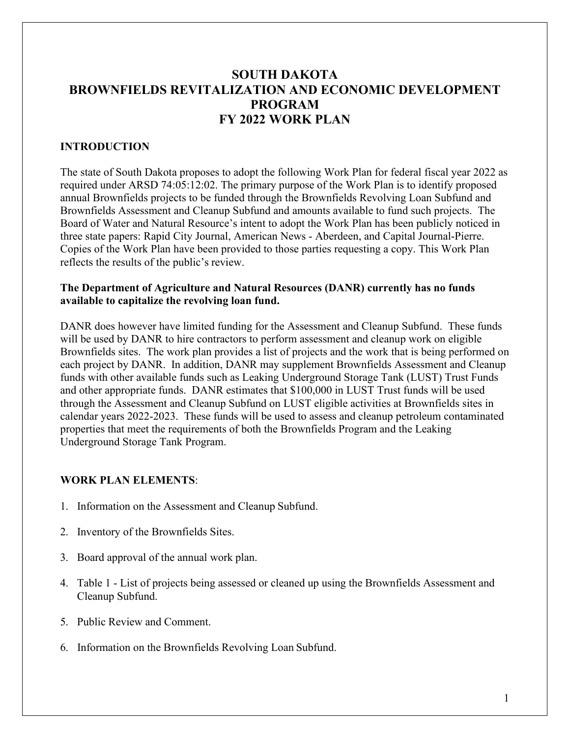# **SOUTH DAKOTA BROWNFIELDS REVITALIZATION AND ECONOMIC DEVELOPMENT PROGRAM FY 2022 WORK PLAN**

### **INTRODUCTION**

The state of South Dakota proposes to adopt the following Work Plan for federal fiscal year 2022 as required under ARSD 74:05:12:02. The primary purpose of the Work Plan is to identify proposed annual Brownfields projects to be funded through the Brownfields Revolving Loan Subfund and Brownfields Assessment and Cleanup Subfund and amounts available to fund such projects. The Board of Water and Natural Resource's intent to adopt the Work Plan has been publicly noticed in three state papers: Rapid City Journal, American News - Aberdeen, and Capital Journal-Pierre. Copies of the Work Plan have been provided to those parties requesting a copy. This Work Plan reflects the results of the public's review.

#### **The Department of Agriculture and Natural Resources (DANR) currently has no funds available to capitalize the revolving loan fund.**

DANR does however have limited funding for the Assessment and Cleanup Subfund. These funds will be used by DANR to hire contractors to perform assessment and cleanup work on eligible Brownfields sites. The work plan provides a list of projects and the work that is being performed on each project by DANR. In addition, DANR may supplement Brownfields Assessment and Cleanup funds with other available funds such as Leaking Underground Storage Tank (LUST) Trust Funds and other appropriate funds. DANR estimates that \$100,000 in LUST Trust funds will be used through the Assessment and Cleanup Subfund on LUST eligible activities at Brownfields sites in calendar years 2022-2023. These funds will be used to assess and cleanup petroleum contaminated properties that meet the requirements of both the Brownfields Program and the Leaking Underground Storage Tank Program.

#### **WORK PLAN ELEMENTS**:

- 1. Information on the Assessment and Cleanup Subfund.
- 2. Inventory of the Brownfields Sites.
- 3. Board approval of the annual work plan.
- 4. Table 1 List of projects being assessed or cleaned up using the Brownfields Assessment and Cleanup Subfund.
- 5. Public Review and Comment.
- 6. Information on the Brownfields Revolving Loan Subfund.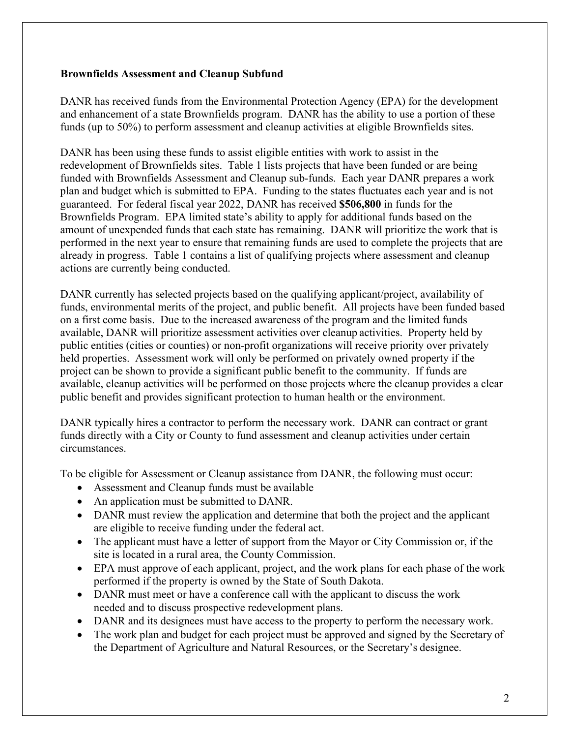### **Brownfields Assessment and Cleanup Subfund**

DANR has received funds from the Environmental Protection Agency (EPA) for the development and enhancement of a state Brownfields program. DANR has the ability to use a portion of these funds (up to 50%) to perform assessment and cleanup activities at eligible Brownfields sites.

DANR has been using these funds to assist eligible entities with work to assist in the redevelopment of Brownfields sites. Table 1 lists projects that have been funded or are being funded with Brownfields Assessment and Cleanup sub-funds. Each year DANR prepares a work plan and budget which is submitted to EPA. Funding to the states fluctuates each year and is not guaranteed. For federal fiscal year 2022, DANR has received **\$506,800** in funds for the Brownfields Program. EPA limited state's ability to apply for additional funds based on the amount of unexpended funds that each state has remaining. DANR will prioritize the work that is performed in the next year to ensure that remaining funds are used to complete the projects that are already in progress. Table 1 contains a list of qualifying projects where assessment and cleanup actions are currently being conducted.

DANR currently has selected projects based on the qualifying applicant/project, availability of funds, environmental merits of the project, and public benefit. All projects have been funded based on a first come basis. Due to the increased awareness of the program and the limited funds available, DANR will prioritize assessment activities over cleanup activities. Property held by public entities (cities or counties) or non-profit organizations will receive priority over privately held properties. Assessment work will only be performed on privately owned property if the project can be shown to provide a significant public benefit to the community. If funds are available, cleanup activities will be performed on those projects where the cleanup provides a clear public benefit and provides significant protection to human health or the environment.

DANR typically hires a contractor to perform the necessary work. DANR can contract or grant funds directly with a City or County to fund assessment and cleanup activities under certain circumstances.

To be eligible for Assessment or Cleanup assistance from DANR, the following must occur:

- Assessment and Cleanup funds must be available
- An application must be submitted to DANR.
- DANR must review the application and determine that both the project and the applicant are eligible to receive funding under the federal act.
- The applicant must have a letter of support from the Mayor or City Commission or, if the site is located in a rural area, the County Commission.
- EPA must approve of each applicant, project, and the work plans for each phase of the work performed if the property is owned by the State of South Dakota.
- DANR must meet or have a conference call with the applicant to discuss the work needed and to discuss prospective redevelopment plans.
- DANR and its designees must have access to the property to perform the necessary work.
- The work plan and budget for each project must be approved and signed by the Secretary of the Department of Agriculture and Natural Resources, or the Secretary's designee.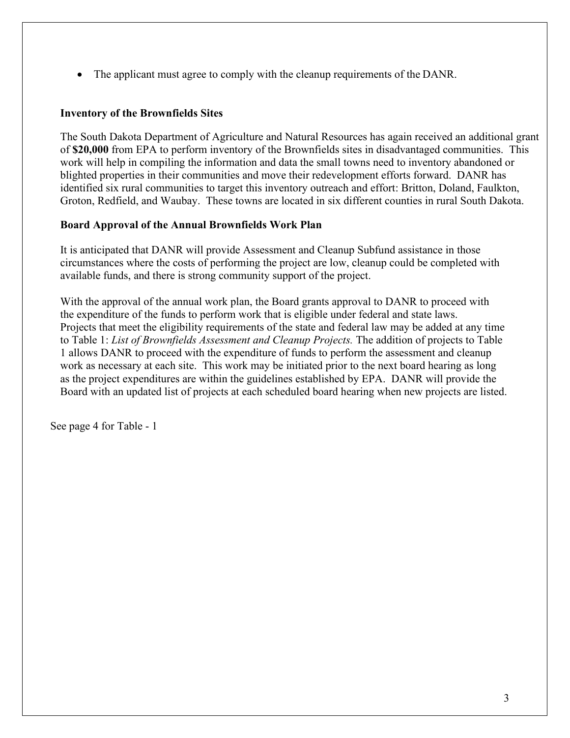• The applicant must agree to comply with the cleanup requirements of the DANR.

### **Inventory of the Brownfields Sites**

The South Dakota Department of Agriculture and Natural Resources has again received an additional grant of **\$20,000** from EPA to perform inventory of the Brownfields sites in disadvantaged communities. This work will help in compiling the information and data the small towns need to inventory abandoned or blighted properties in their communities and move their redevelopment efforts forward. DANR has identified six rural communities to target this inventory outreach and effort: Britton, Doland, Faulkton, Groton, Redfield, and Waubay. These towns are located in six different counties in rural South Dakota.

## **Board Approval of the Annual Brownfields Work Plan**

It is anticipated that DANR will provide Assessment and Cleanup Subfund assistance in those circumstances where the costs of performing the project are low, cleanup could be completed with available funds, and there is strong community support of the project.

With the approval of the annual work plan, the Board grants approval to DANR to proceed with the expenditure of the funds to perform work that is eligible under federal and state laws. Projects that meet the eligibility requirements of the state and federal law may be added at any time to Table 1: *List of Brownfields Assessment and Cleanup Projects.* The addition of projects to Table 1 allows DANR to proceed with the expenditure of funds to perform the assessment and cleanup work as necessary at each site. This work may be initiated prior to the next board hearing as long as the project expenditures are within the guidelines established by EPA. DANR will provide the Board with an updated list of projects at each scheduled board hearing when new projects are listed.

See page 4 for Table - 1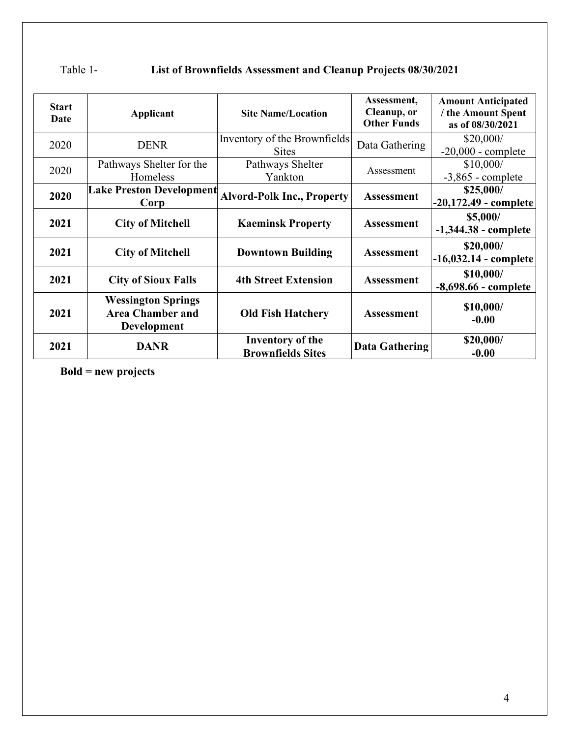| <b>Start</b><br>Date | Applicant                                                           | <b>Site Name/Location</b>                           | Assessment,<br>Cleanup, or<br><b>Other Funds</b> | <b>Amount Anticipated</b><br>/ the Amount Spent<br>as of 08/30/2021 |
|----------------------|---------------------------------------------------------------------|-----------------------------------------------------|--------------------------------------------------|---------------------------------------------------------------------|
| 2020                 | <b>DENR</b>                                                         | Inventory of the Brownfields<br><b>Sites</b>        | Data Gathering                                   | \$20,000/<br>$-20,000$ - complete                                   |
| 2020                 | Pathways Shelter for the<br>Homeless                                | Pathways Shelter<br>Yankton                         | Assessment                                       | \$10,000/<br>$-3,865$ - complete                                    |
| 2020                 | <b>Lake Preston Development</b><br>Corp                             | <b>Alvord-Polk Inc., Property</b>                   | <b>Assessment</b>                                | \$25,000/<br>$-20,172.49$ - complete                                |
| 2021                 | <b>City of Mitchell</b>                                             | <b>Kaeminsk Property</b>                            | <b>Assessment</b>                                | \$5,000/<br>$-1,344.38$ - complete                                  |
| 2021                 | <b>City of Mitchell</b>                                             | <b>Downtown Building</b>                            | <b>Assessment</b>                                | \$20,000/<br>$-16,032.14$ - complete                                |
| 2021                 | <b>City of Sioux Falls</b>                                          | <b>4th Street Extension</b>                         | <b>Assessment</b>                                | \$10,000/<br>-8,698.66 - complete                                   |
| 2021                 | <b>Wessington Springs</b><br><b>Area Chamber and</b><br>Development | <b>Old Fish Hatchery</b>                            | <b>Assessment</b>                                | \$10,000/<br>$-0.00$                                                |
| 2021                 | <b>DANR</b>                                                         | <b>Inventory of the</b><br><b>Brownfields Sites</b> | <b>Data Gathering</b>                            | \$20,000/<br>$-0.00$                                                |

# Table 1- **List of Brownfields Assessment and Cleanup Projects 08/30/2021**

**Bold = new projects**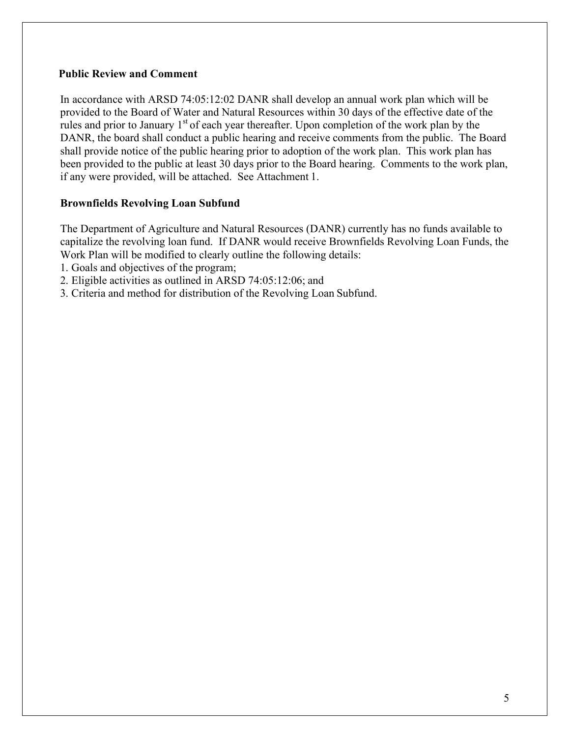#### **Public Review and Comment**

In accordance with ARSD 74:05:12:02 DANR shall develop an annual work plan which will be provided to the Board of Water and Natural Resources within 30 days of the effective date of the rules and prior to January  $1<sup>st</sup>$  of each year thereafter. Upon completion of the work plan by the DANR, the board shall conduct a public hearing and receive comments from the public. The Board shall provide notice of the public hearing prior to adoption of the work plan. This work plan has been provided to the public at least 30 days prior to the Board hearing. Comments to the work plan, if any were provided, will be attached. See Attachment 1.

## **Brownfields Revolving Loan Subfund**

The Department of Agriculture and Natural Resources (DANR) currently has no funds available to capitalize the revolving loan fund. If DANR would receive Brownfields Revolving Loan Funds, the Work Plan will be modified to clearly outline the following details:

- 1. Goals and objectives of the program;
- 2. Eligible activities as outlined in ARSD 74:05:12:06; and
- 3. Criteria and method for distribution of the Revolving Loan Subfund.